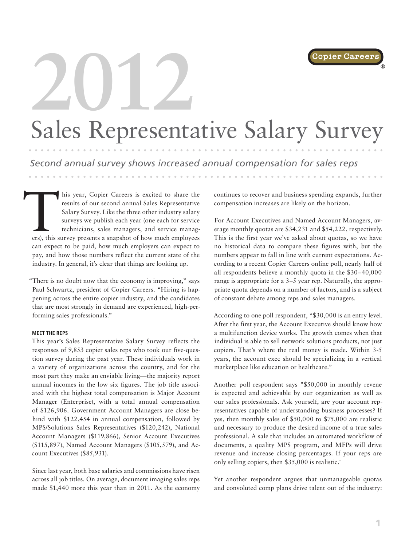®

# **2012** Sales Representative Salary Survey

*Second annual survey shows increased annual compensation for sales reps*

This year, Copier Careers is excited to share the results of our second annual Sales Representative Salary Survey. Like the three other industry salary surveys we publish each year (one each for service technicians, sales results of our second annual Sales Representative Salary Survey. Like the three other industry salary surveys we publish each year (one each for service technicians, sales managers, and service managcan expect to be paid, how much employers can expect to pay, and how those numbers reflect the current state of the industry. In general, it's clear that things are looking up.

"There is no doubt now that the economy is improving," says Paul Schwartz, president of Copier Careers. "Hiring is happening across the entire copier industry, and the candidates that are most strongly in demand are experienced, high-performing sales professionals."

### **MEET THE REPS**

This year's Sales Representative Salary Survey reflects the responses of 9,853 copier sales reps who took our five-question survey during the past year. These individuals work in a variety of organizations across the country, and for the most part they make an enviable living—the majority report annual incomes in the low six figures. The job title associated with the highest total compensation is Major Account Manager (Enterprise), with a total annual compensation of \$126,906. Government Account Managers are close behind with \$122,454 in annual compensation, followed by MPS/Solutions Sales Representatives (\$120,242), National Account Managers (\$119,866), Senior Account Executives (\$115,897), Named Account Managers (\$105,579), and Account Executives (\$85,931).

Since last year, both base salaries and commissions have risen across all job titles. On average, document imaging sales reps made \$1,440 more this year than in 2011. As the economy continues to recover and business spending expands, further compensation increases are likely on the horizon.

For Account Executives and Named Account Managers, average monthly quotas are \$34,231 and \$54,222, respectively. This is the first year we've asked about quotas, so we have no historical data to compare these figures with, but the numbers appear to fall in line with current expectations. According to a recent Copier Careers online poll, nearly half of all respondents believe a monthly quota in the \$30–40,000 range is appropriate for a 3–5 year rep. Naturally, the appropriate quota depends on a number of factors, and is a subject of constant debate among reps and sales managers.

According to one poll respondent, "\$30,000 is an entry level. After the first year, the Account Executive should know how a multifunction device works. The growth comes when that individual is able to sell network solutions products, not just copiers. That's where the real money is made. Within 3-5 years, the account exec should be specializing in a vertical marketplace like education or healthcare."

Another poll respondent says "\$50,000 in monthly revene is expected and achievable by our organization as well as our sales professionals. Ask yourself, are your account representatives capable of understanding business processes? If yes, then monthly sales of \$50,000 to \$75,000 are realistic and necessary to produce the desired income of a true sales professional. A sale that includes an automated workflow of documents, a quality MPS program, and MFPs will drive revenue and increase closing percentages. If your reps are only selling copiers, then \$35,000 is realistic."

Yet another respondent argues that unmanageable quotas and convoluted comp plans drive talent out of the industry: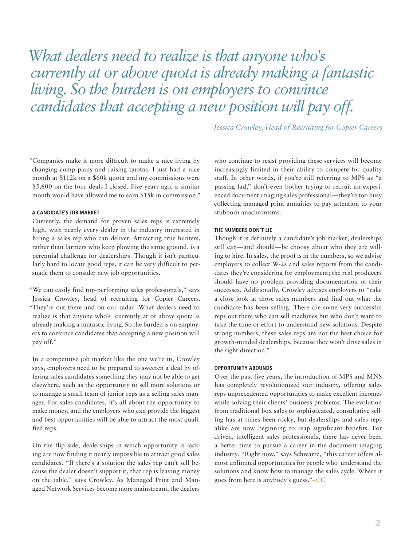*What dealers need to realize is that anyone who's currently at or above quota is already making a fantastic living. So the burden is on employers to convince candidates that accepting a new position will pay off.* 

*-Jessica Crowley, Head of Recruiting for Copier Careers*

"Companies make it more difficult to make a nice living by changing comp plans and raising quotas. I just had a nice month at \$112k on a \$60k quota and my commissions were \$5,600 on the four deals I closed. Five years ago, a similar month would have allowed me to earn \$15k in commission."

### **A CANDIDATE'S JOB MARKET**

Currently, the demand for proven sales reps is extremely high, with nearly every dealer in the industry interested in hiring a sales rep who can deliver. Attracting true hunters, rather than farmers who keep plowing the same ground, is a perennial challenge for dealerships. Though it isn't particularly hard to locate good reps, it can be very difficult to persuade them to consider new job opportunities.

"We can easily find top-performing sales professionals," says Jessica Crowley, head of recruiting for Copier Careers. "They're out there and on our radar. What dealers need to realize is that anyone who's currently at or above quota is already making a fantastic living. So the burden is on employers to convince candidates that accepting a new position will pay off."

In a competitive job market like the one we're in, Crowley says, employers need to be prepared to sweeten a deal by offering sales candidates something they may not be able to get elsewhere, such as the opportunity to sell more solutions or to manage a small team of junior reps as a selling sales manager. For sales candidates, it's all about the opportunity to make money, and the employers who can provide the biggest and best opportunities will be able to attract the most qualified reps.

On the flip side, dealerships in which opportunity is lacking are now finding it nearly impossible to attract good sales candidates. "If there's a solution the sales rep can't sell because the dealer doesn't support it, that rep is leaving money on the table," says Crowley. As Managed Print and Managed Network Services become more mainstream, the dealers who continue to resist providing these services will become increasingly limited in their ability to compete for quality staff. In other words, if you're still referring to MPS as "a passing fad," don't even bother trying to recruit an experienced document imaging sales professional—they're too busy collecting managed print annuities to pay attention to your stubborn anachronisms.

#### **THE NUMBERS DON'T LIE**

Though it is definitely a candidate's job market, dealerships still can—and should—be choosy about who they are willing to hire. In sales, the proof is in the numbers, so we advise employers to collect W-2s and sales reports from the candidates they're considering for employment; the real producers should have no problem providing documentation of their successes. Additionally, Crowley advises employers to "take a close look at those sales numbers and find out what the candidate has been selling. There are some very successful reps out there who can sell machines but who don't want to take the time or effort to understand new solutions. Despite strong numbers, these sales reps are not the best choice for growth-minded dealerships, because they won't drive sales in the right direction."

### **OPPORTUNITY ABOUNDS**

Over the past five years, the introduction of MPS and MNS has completely revolutionized our industry, offering sales reps unprecedented opportunities to make excellent incomes while solving their clients' business problems. The evolution from traditional box sales to sophisticated, consultative selling has at times been rocky, but dealerships and sales reps alike are now beginning to reap significant benefits. For driven, intelligent sales professionals, there has never been a better time to pursue a career in the document imaging industry. "Right now," says Schwartz, "this career offers almost unlimited opportunities for people who understand the solutions and know how to manage the sales cycle. Where it goes from here is anybody's guess."–CC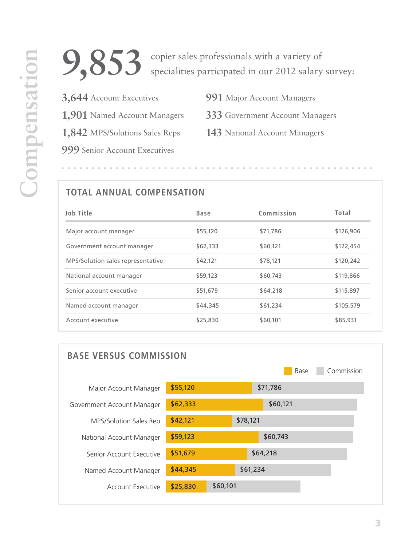

**3,644** Account Executives **1,901** Named Account Managers **1,842** MPS/Solutions Sales Reps **999** Senior Account Executives

- **991** Major Account Managers
- **333** Government Account Managers
- **143** National Account Managers

## **TOTAL ANNUAL COMPENSATION**

| <b>Job Title</b>                  | Base     | Commission | Total     |
|-----------------------------------|----------|------------|-----------|
| Major account manager             | \$55,120 | \$71,786   | \$126,906 |
| Government account manager        | \$62,333 | \$60,121   | \$122,454 |
| MPS/Solution sales representative | \$42,121 | \$78,121   | \$120,242 |
| National account manager          | \$59,123 | \$60,743   | \$119,866 |
| Senior account executive          | \$51,679 | \$64,218   | \$115,897 |
| Named account manager             | \$44,345 | \$61,234   | \$105,579 |
| Account executive                 | \$25,830 | \$60,101   | \$85,931  |

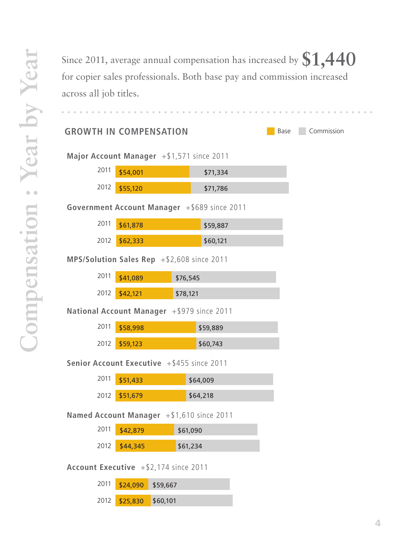Since 2011, average annual compensation has increased by **\$1,440** for copier sales professionals. Both base pay and commission increased across all job titles.

## **GROWTH IN COMPENSATION**

Base Commission

**Major Account Manager** +\$1,571 since 2011

| 2011 | \$54,001      | \$71,334 |
|------|---------------|----------|
|      |               |          |
|      | 2012 \$55,120 | \$71,786 |

**Government Account Manager** +\$689 since 2011

| 2011 | \$61,878 | \$59,887 |
|------|----------|----------|
| 2012 | \$62,333 | \$60,121 |

**MPS/Solution Sales Rep** +\$2,608 since 2011

| 2011 | \$41,089 | \$76,545 |
|------|----------|----------|
| 2012 | \$42,121 | \$78,121 |

**National Account Manager** +\$979 since 2011

| 2011 | \$58,998 | \$59,889 |
|------|----------|----------|
|      | \$59,123 | \$60,743 |

**Senior Account Executive** +\$455 since 2011

| 2011 | \$51,433      | \$64,009 |
|------|---------------|----------|
|      | 2012 \$51,679 | \$64,218 |

**Named Account Manager** +\$1,610 since 2011

| 2011 | \$42,879      | \$61,090 |
|------|---------------|----------|
|      | 2012 \$44,345 | \$61,234 |

**Account Executive** +\$2,174 since 2011

| 2011 | $$24,090$ \$59,667     |  |
|------|------------------------|--|
|      | 2012 \$25,830 \$60,101 |  |